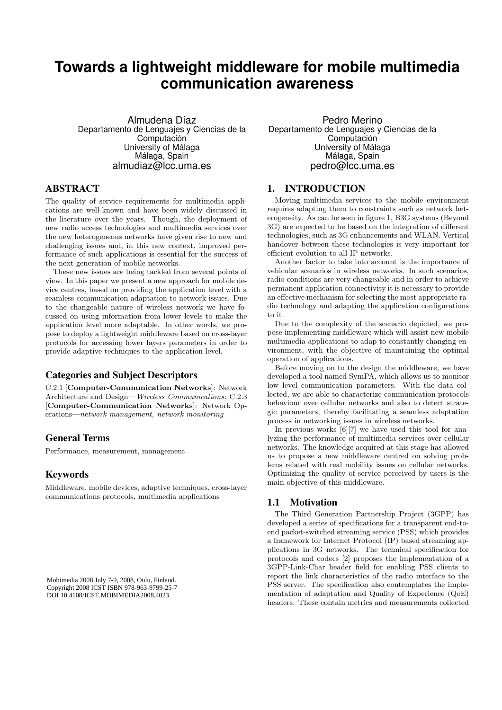# **Towards a lightweight middleware for mobile multimedia communication awareness**

Almudena Díaz Departamento de Lenguajes y Ciencias de la Computación University of Málaga Málaga, Spain almudiaz@lcc.uma.es

## ABSTRACT

The quality of service requirements for multimedia applications are well-known and have been widely discussed in the literature over the years. Though, the deployment of new radio access technologies and multimedia services over the new heterogeneous networks have given rise to new and challenging issues and, in this new context, improved performance of such applications is essential for the success of the next generation of mobile networks.

These new issues are being tackled from several points of view. In this paper we present a new approach for mobile device centres, based on providing the application level with a seamless communication adaptation to network issues. Due to the changeable nature of wireless network we have focussed on using information from lower levels to make the application level more adaptable. In other words, we propose to deploy a lightweight middleware based on cross-layer protocols for accessing lower layers parameters in order to provide adaptive techniques to the application level.

## Categories and Subject Descriptors

C.2.1 [Computer-Communication Networks]: Network Architecture and Design—Wireless Communications; C.2.3 [Computer-Communication Networks]: Network Operations—network management, network monitoring

# General Terms

Performance, measurement, management

## Keywords

Middleware, mobile devices, adaptive techniques, cross-layer communications protocols, multimedia applications

Mobimedia 2008 July 7-9, 2008, Oulu, Finland. Copyright 2008 ICST ISBN 978-963-9799-25-7 DOI 10.4108/ICST.MOBIMEDIA2008.4023

Pedro Merino Departamento de Lenguajes y Ciencias de la Computación University of Málaga Málaga, Spain pedro@lcc.uma.es

#### 1. INTRODUCTION

Moving multimedia services to the mobile environment requires adapting them to constraints such as network heterogeneity. As can be seen in figure 1, B3G systems (Beyond 3G) are expected to be based on the integration of different technologies, such as 3G enhancements and WLAN. Vertical handover between these technologies is very important for efficient evolution to all-IP networks.

Another factor to take into account is the importance of vehicular scenarios in wireless networks. In such scenarios, radio conditions are very changeable and in order to achieve permanent application connectivity it is necessary to provide an effective mechanism for selecting the most appropriate radio technology and adapting the application configurations to it.

Due to the complexity of the scenario depicted, we propose implementing middleware which will assist new mobile multimedia applications to adap to constantly changing environment, with the objective of maintaining the optimal operation of applications.

Before moving on to the design the middleware, we have developed a tool named SymPA, which allows us to monitor low level communication parameters. With the data collected, we are able to characterize communication protocols behaviour over cellular networks and also to detect strategic parameters, thereby facilitating a seamless adaptation process in networking issues in wireless networks.

In previous works [6][7] we have used this tool for analyzing the performance of multimedia services over cellular networks. The knowledge acquired at this stage has allowed us to propose a new middleware centred on solving problems related with real mobility issues on cellular networks. Optimizing the quality of service perceived by users is the main objective of this middleware.

## 1.1 Motivation

The Third Generation Partnership Project (3GPP) has developed a series of specifications for a transparent end-toend packet-switched streaming service (PSS) which provides a framework for Internet Protocol (IP) based streaming applications in 3G networks. The technical specification for protocols and codecs [2] proposes the implementation of a 3GPP-Link-Char header field for enabling PSS clients to report the link characteristics of the radio interface to the PSS server. The specification also contemplates the implementation of adaptation and Quality of Experience (QoE) headers. These contain metrics and measurements collected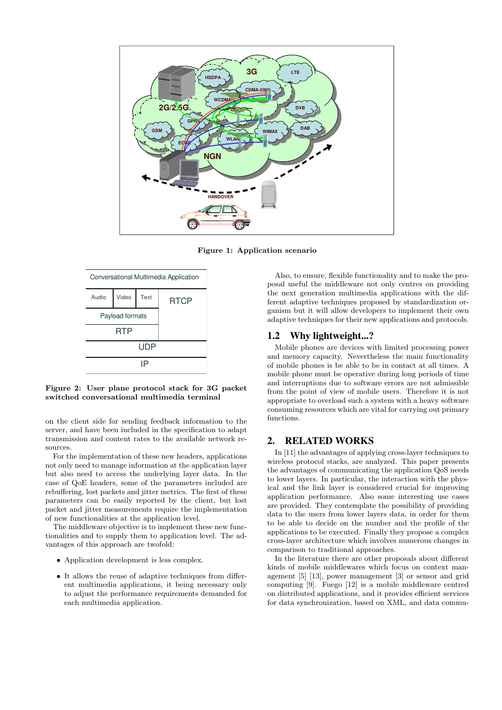

Figure 1: Application scenario



Figure 2: User plane protocol stack for 3G packet switched conversational multimedia terminal

on the client side for sending feedback information to the server, and have been included in the specification to adapt transmission and content rates to the available network resources.

For the implementation of these new headers, applications not only need to manage information at the application layer but also need to access the underlying layer data. In the case of QoE headers, some of the parameters included are rebuffering, lost packets and jitter metrics. The first of these parameters can be easily reported by the client, but lost packet and jitter measurements require the implementation of new functionalities at the application level.

The middleware objective is to implement these new functionalities and to supply them to application level. The advantages of this approach are twofold:

- Application development is less complex.
- It allows the reuse of adaptive techniques from different multimedia applications, it being necessary only to adjust the performance requirements demanded for each multimedia application.

Also, to ensure, flexible functionality and to make the proposal useful the middleware not only centres on providing the next generation multimedia applications with the different adaptive techniques proposed by standardization organism but it will allow developers to implement their own adaptive techniques for their new applications and protocols.

#### 1.2 Why lightweight...?

Mobile phones are devices with limited processing power and memory capacity. Nevertheless the main functionality of mobile phones is be able to be in contact at all times. A mobile phone must be operative during long periods of time and interruptions due to software errors are not admissible from the point of view of mobile users. Therefore it is not appropriate to overload such a system with a heavy software consuming resources which are vital for carrying out primary functions.

#### 2. RELATED WORKS

In [11] the advantages of applying cross-layer techniques to wireless protocol stacks, are analyzed. This paper presents the advantages of communicating the application QoS needs to lower layers. In particular, the interaction with the physical and the link layer is considered crucial for improving application performance. Also some interesting use cases are provided. They contemplate the possibility of providing data to the users from lower layers data, in order for them to be able to decide on the number and the profile of the applications to be executed. Finally they propose a complex cross-layer architecture which involves numerous changes in comparison to traditional approaches.

In the literature there are other proposals about different kinds of mobile middlewares which focus on context management [5] [13], power management [3] or sensor and grid computing [9]. Fuego [12] is a mobile middleware centred on distributed applications, and it provides efficient services for data synchronization, based on XML, and data commu-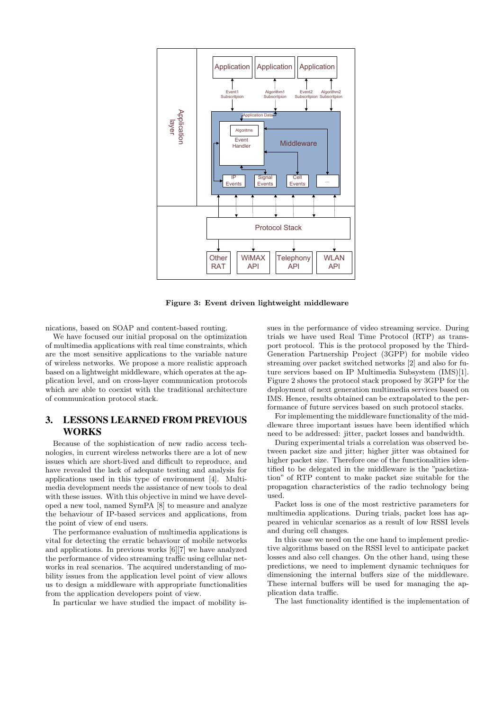

Figure 3: Event driven lightweight middleware

nications, based on SOAP and content-based routing.

We have focused our initial proposal on the optimization of multimedia applications with real time constraints, which are the most sensitive applications to the variable nature of wireless networks. We propose a more realistic approach based on a lightweight middleware, which operates at the application level, and on cross-layer communication protocols which are able to coexist with the traditional architecture of communication protocol stack.

# 3. LESSONS LEARNED FROM PREVIOUS WORKS

Because of the sophistication of new radio access technologies, in current wireless networks there are a lot of new issues which are short-lived and difficult to reproduce, and have revealed the lack of adequate testing and analysis for applications used in this type of environment [4]. Multimedia development needs the assistance of new tools to deal with these issues. With this objective in mind we have developed a new tool, named SymPA [8] to measure and analyze the behaviour of IP-based services and applications, from the point of view of end users.

The performance evaluation of multimedia applications is vital for detecting the erratic behaviour of mobile networks and applications. In previous works [6][7] we have analyzed the performance of video streaming traffic using cellular networks in real scenarios. The acquired understanding of mobility issues from the application level point of view allows us to design a middleware with appropriate functionalities from the application developers point of view.

In particular we have studied the impact of mobility is-

sues in the performance of video streaming service. During trials we have used Real Time Protocol (RTP) as transport protocol. This is the protocol proposed by the Third-Generation Partnership Project (3GPP) for mobile video streaming over packet switched networks [2] and also for future services based on IP Multimedia Subsystem (IMS)[1]. Figure 2 shows the protocol stack proposed by 3GPP for the deployment of next generation multimedia services based on IMS. Hence, results obtained can be extrapolated to the performance of future services based on such protocol stacks.

For implementing the middleware functionality of the middleware three important issues have been identified which need to be addressed: jitter, packet losses and bandwidth.

During experimental trials a correlation was observed between packet size and jitter; higher jitter was obtained for higher packet size. Therefore one of the functionalities identified to be delegated in the middleware is the "packetization" of RTP content to make packet size suitable for the propagation characteristics of the radio technology being used.

Packet loss is one of the most restrictive parameters for multimedia applications. During trials, packet loss has appeared in vehicular scenarios as a result of low RSSI levels and during cell changes.

In this case we need on the one hand to implement predictive algorithms based on the RSSI level to anticipate packet losses and also cell changes. On the other hand, using these predictions, we need to implement dynamic techniques for dimensioning the internal buffers size of the middleware. These internal buffers will be used for managing the application data traffic.

The last functionality identified is the implementation of